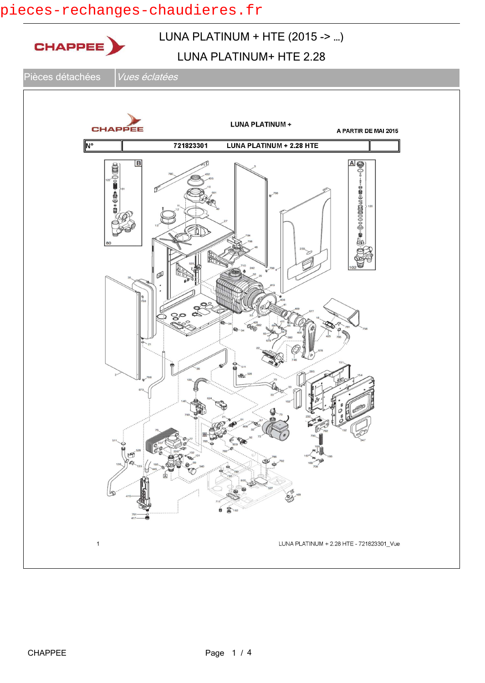## pieces-rechanges-chaudieres.fr

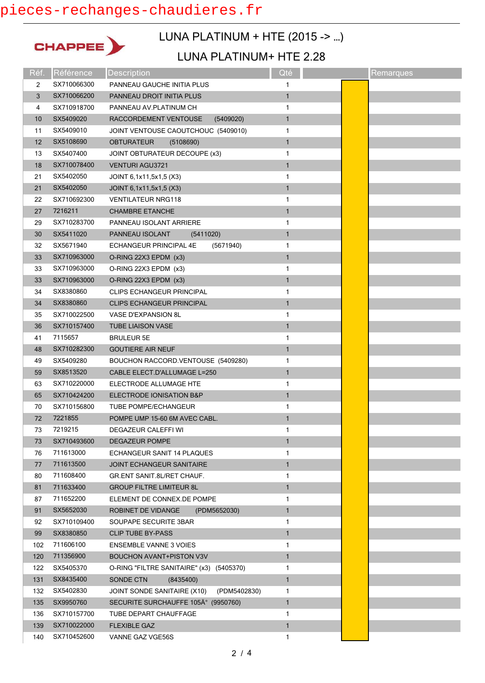# pieces-rechanges-chaudieres.fr



## LUNA PLATINUM + HTE (2015 -> …)

#### LUNA PLATINUM+ HTE 2.28

| Réf.           | Référence   | <b>Description</b>                          | Qté          | Remarques |
|----------------|-------------|---------------------------------------------|--------------|-----------|
| $\overline{2}$ | SX710066300 | PANNEAU GAUCHE INITIA PLUS                  | 1            |           |
| 3              | SX710066200 | PANNEAU DROIT INITIA PLUS                   | $\mathbf{1}$ |           |
| 4              | SX710918700 | PANNEAU AV.PLATINUM CH                      | 1            |           |
| 10             | SX5409020   | RACCORDEMENT VENTOUSE<br>(5409020)          | $\mathbf{1}$ |           |
| 11             | SX5409010   | JOINT VENTOUSE CAOUTCHOUC (5409010)         | 1            |           |
| 12             | SX5108690   | <b>OBTURATEUR</b><br>(5108690)              | $\mathbf{1}$ |           |
| 13             | SX5407400   | JOINT OBTURATEUR DECOUPE (x3)               | 1            |           |
| 18             | SX710078400 | <b>VENTURI AGU3721</b>                      | $\mathbf{1}$ |           |
| 21             | SX5402050   | JOINT 6,1x11,5x1,5 (X3)                     | 1            |           |
| 21             | SX5402050   | JOINT 6,1x11,5x1,5 (X3)                     | $\mathbf{1}$ |           |
| 22             | SX710692300 | <b>VENTILATEUR NRG118</b>                   | 1            |           |
| 27             | 7216211     | <b>CHAMBRE ETANCHE</b>                      | $\mathbf{1}$ |           |
| 29             | SX710283700 | PANNEAU ISOLANT ARRIERE                     | 1            |           |
| 30             | SX5411020   | PANNEAU ISOLANT<br>(5411020)                | $\mathbf{1}$ |           |
| 32             | SX5671940   | ECHANGEUR PRINCIPAL 4E<br>(5671940)         | 1            |           |
| 33             | SX710963000 | O-RING 22X3 EPDM (x3)                       | $\mathbf{1}$ |           |
| 33             | SX710963000 | O-RING 22X3 EPDM (x3)                       | 1            |           |
| 33             | SX710963000 | O-RING 22X3 EPDM (x3)                       | $\mathbf{1}$ |           |
| 34             | SX8380860   | <b>CLIPS ECHANGEUR PRINCIPAL</b>            | 1            |           |
| 34             | SX8380860   | <b>CLIPS ECHANGEUR PRINCIPAL</b>            | $\mathbf{1}$ |           |
| 35             | SX710022500 | VASE D'EXPANSION 8L                         | 1            |           |
| 36             | SX710157400 | <b>TUBE LIAISON VASE</b>                    | $\mathbf{1}$ |           |
| 41             | 7115657     | <b>BRULEUR 5E</b>                           | 1            |           |
| 48             | SX710282300 | <b>GOUTIERE AIR NEUF</b>                    | $\mathbf{1}$ |           |
| 49             | SX5409280   | BOUCHON RACCORD.VENTOUSE (5409280)          | 1            |           |
| 59             | SX8513520   | CABLE ELECT.D'ALLUMAGE L=250                | $\mathbf{1}$ |           |
| 63             | SX710220000 | ELECTRODE ALLUMAGE HTE                      | 1            |           |
| 65             | SX710424200 | ELECTRODE IONISATION B&P                    | $\mathbf{1}$ |           |
| 70             | SX710156800 | <b>TUBE POMPE/ECHANGEUR</b>                 | 1            |           |
| 72             | 7221855     | POMPE UMP 15-60 6M AVEC CABL.               | $\mathbf{1}$ |           |
| 73             | 7219215     | <b>DEGAZEUR CALEFFI WI</b>                  | 1            |           |
| 73             | SX710493600 | <b>DEGAZEUR POMPE</b>                       | 1            |           |
| 76             | 711613000   | ECHANGEUR SANIT 14 PLAQUES                  | 1            |           |
| 77             | 711613500   | <b>JOINT ECHANGEUR SANITAIRE</b>            | $\mathbf{1}$ |           |
| 80             | 711608400   | GR.ENT SANIT.8L/RET CHAUF.                  | 1            |           |
| 81             | 711633400   | <b>GROUP FILTRE LIMITEUR 8L</b>             | $\mathbf{1}$ |           |
| 87             | 711652200   | ELEMENT DE CONNEX.DE POMPE                  | 1            |           |
| 91             | SX5652030   | <b>ROBINET DE VIDANGE</b><br>(PDM5652030)   | 1            |           |
| 92             | SX710109400 | SOUPAPE SECURITE 3BAR                       | 1            |           |
| 99             | SX8380850   | <b>CLIP TUBE BY-PASS</b>                    | $\mathbf{1}$ |           |
| 102            | 711606100   | <b>ENSEMBLE VANNE 3 VOIES</b>               | 1            |           |
| 120            | 711356900   | <b>BOUCHON AVANT+PISTON V3V</b>             | $\mathbf{1}$ |           |
| 122            | SX5405370   | O-RING "FILTRE SANITAIRE" (x3) (5405370)    | 1            |           |
| 131            | SX8435400   | (8435400)<br>SONDE CTN                      | $\mathbf{1}$ |           |
| 132            | SX5402830   | JOINT SONDE SANITAIRE (X10)<br>(PDM5402830) | 1            |           |
| 135            | SX9950760   | SECURITE SURCHAUFFE 105° (9950760)          | 1            |           |
| 136            | SX710157700 | TUBE DEPART CHAUFFAGE                       | 1            |           |
| 139            | SX710022000 | <b>FLEXIBLE GAZ</b>                         | $\mathbf{1}$ |           |
| 140            | SX710452600 | VANNE GAZ VGE56S                            | 1            |           |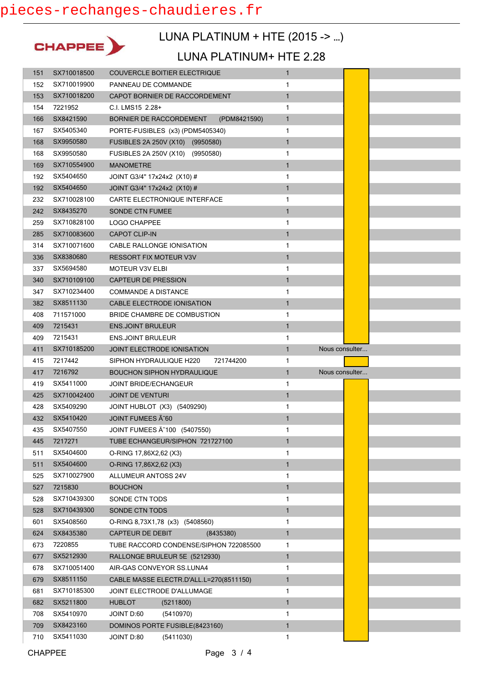

## LUNA PLATINUM + HTE (2015 -> …)

#### LUNA PLATINUM+ HTE 2.28

| 151        | SX710018500            | <b>COUVERCLE BOITIER ELECTRIQUE</b>                       | $\mathbf{1}$                   |                |  |
|------------|------------------------|-----------------------------------------------------------|--------------------------------|----------------|--|
| 152        | SX710019900            | PANNEAU DE COMMANDE                                       | 1                              |                |  |
| 153        | SX710018200            | CAPOT BORNIER DE RACCORDEMENT                             | $\mathbf{1}$                   |                |  |
| 154        | 7221952                | C.I. LMS15 2.28+                                          | 1                              |                |  |
| 166        | SX8421590              | BORNIER DE RACCORDEMENT<br>(PDM8421590)                   | $\mathbf{1}$                   |                |  |
| 167        | SX5405340              | PORTE-FUSIBLES (x3) (PDM5405340)                          | 1                              |                |  |
| 168        | SX9950580              | FUSIBLES 2A 250V (X10) (9950580)                          | $\mathbf{1}$                   |                |  |
| 168        | SX9950580              | FUSIBLES 2A 250V (X10) (9950580)                          | 1                              |                |  |
| 169        | SX710554900            | <b>MANOMETRE</b>                                          | $\mathbf{1}$                   |                |  |
| 192        | SX5404650              | JOINT G3/4" 17x24x2 (X10) #                               | 1                              |                |  |
| 192        | SX5404650              | JOINT G3/4" 17x24x2 (X10) #                               | $\mathbf{1}$                   |                |  |
| 232        | SX710028100            | CARTE ELECTRONIQUE INTERFACE                              | 1                              |                |  |
| 242        | SX8435270              | <b>SONDE CTN FUMEE</b>                                    | $\mathbf{1}$                   |                |  |
| 259        | SX710828100            | LOGO CHAPPEE                                              | 1                              |                |  |
| 285        | SX710083600            | <b>CAPOT CLIP-IN</b>                                      | $\mathbf{1}$                   |                |  |
| 314        | SX710071600            | CABLE RALLONGE IONISATION                                 | 1                              |                |  |
| 336        | SX8380680              | <b>RESSORT FIX MOTEUR V3V</b>                             | $\mathbf{1}$                   |                |  |
| 337        | SX5694580              | <b>MOTEUR V3V ELBI</b>                                    | 1                              |                |  |
| 340        | SX710109100            | <b>CAPTEUR DE PRESSION</b>                                | $\mathbf{1}$                   |                |  |
| 347        | SX710234400            | <b>COMMANDE A DISTANCE</b>                                | 1                              |                |  |
| 382        | SX8511130              | CABLE ELECTRODE IONISATION                                | $\mathbf{1}$                   |                |  |
| 408        | 711571000              | BRIDE CHAMBRE DE COMBUSTION                               | 1                              |                |  |
| 409        | 7215431                | <b>ENS.JOINT BRULEUR</b>                                  | $\mathbf{1}$                   |                |  |
| 409        | 7215431                | <b>ENS.JOINT BRULEUR</b>                                  | 1                              |                |  |
|            |                        |                                                           | $\mathbf{1}$<br>Nous consulter |                |  |
| 411        | SX710185200            | JOINT ELECTRODE IONISATION                                |                                |                |  |
| 415        | 7217442                | SIPHON HYDRAULIQUE H220<br>721744200                      | 1                              |                |  |
| 417        | 7216792                | <b>BOUCHON SIPHON HYDRAULIQUE</b>                         | $\mathbf{1}$                   | Nous consulter |  |
| 419        | SX5411000              | <b>JOINT BRIDE/ECHANGEUR</b>                              | 1                              |                |  |
| 425        | SX710042400            | <b>JOINT DE VENTURI</b>                                   | $\mathbf{1}$                   |                |  |
| 428        | SX5409290              | JOINT HUBLOT (X3) (5409290)                               | 1                              |                |  |
| 432        | SX5410420              | JOINT FUMEES A 60                                         | $\mathbf{1}$                   |                |  |
| 435        | SX5407550              | JOINT FUMEES A 100 (5407550)                              | 1                              |                |  |
| 445        | 7217271                | TUBE ECHANGEUR/SIPHON 721727100                           | $\mathbf{1}$                   |                |  |
| 511        | SX5404600              | O-RING 17,86X2,62 (X3)                                    | 1                              |                |  |
| 511        | SX5404600              | O-RING 17,86X2,62 (X3)                                    | $\mathbf{1}$                   |                |  |
| 525        | SX710027900            | ALLUMEUR ANTOSS 24V                                       | 1                              |                |  |
| 527        | 7215830                | <b>BOUCHON</b>                                            | $\mathbf{1}$                   |                |  |
| 528        | SX710439300            | SONDE CTN TODS                                            | 1                              |                |  |
| 528        | SX710439300            | SONDE CTN TODS                                            | $\mathbf{1}$                   |                |  |
| 601        | SX5408560              | O-RING 8,73X1,78 (x3) (5408560)                           | 1                              |                |  |
| 624        | SX8435380              | <b>CAPTEUR DE DEBIT</b><br>(8435380)                      | $\mathbf{1}$                   |                |  |
| 673        | 7220855                | TUBE RACCORD CONDENSE/SIPHON 722085500                    | 1                              |                |  |
| 677        | SX5212930              | RALLONGE BRULEUR 5E (5212930)                             | $\mathbf{1}$                   |                |  |
| 678        | SX710051400            | AIR-GAS CONVEYOR SS.LUNA4                                 | 1                              |                |  |
| 679        | SX8511150              | CABLE MASSE ELECTR.D'ALL.L=270(8511150)                   | $\mathbf{1}$                   |                |  |
| 681        | SX710185300            | JOINT ELECTRODE D'ALLUMAGE                                | 1                              |                |  |
| 682        | SX5211800              | <b>HUBLOT</b><br>(5211800)                                | $\mathbf{1}$                   |                |  |
| 708        | SX5410970              | JOINT D:60<br>(5410970)                                   | 1                              |                |  |
| 709<br>710 | SX8423160<br>SX5411030 | DOMINOS PORTE FUSIBLE(8423160)<br>JOINT D:80<br>(5411030) | 1<br>1                         |                |  |